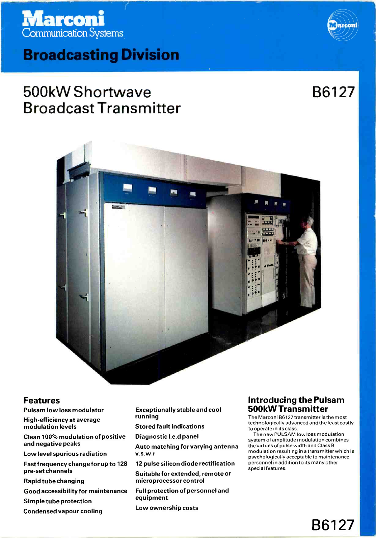# **Marconi**<br>Communication Systems

## **Broadcasting Division**

## 500kW Shortwave Broadcast Transmitter



B6127



## Features

- Pulsam low loss modulator
- High-efficiency at average modulation levels

Clean 100% modulation of positive and negative peaks

Low level spurious radiation

Fast frequency change for up to 128 pre-set channels

Rapid tube changing

Good accessibility for maintenance

Simple tube protection

Condensed vapour cooling

Exceptionally stable and cool running

Stored fault indications

Diagnostic I.e.d panel

Auto matching for varying antenna v.s.w.r

12 pulse silicon diode rectification

Suitable for extended, remote or microprocessor control

Full protection of personnel and equipment

Low ownership costs

## Introducing the Pulsam 500kW Transmitter

The Marconi B6127 transmitter is the most technologically advanced and the least costly to operate in its class.

The new PULSAM low loss modulation system of amplitude modulation combines the virtues of pulse width and Class B modulation resulting in a transmitter which is psychologically acceptable to maintenance personnel in addition to its many other special features.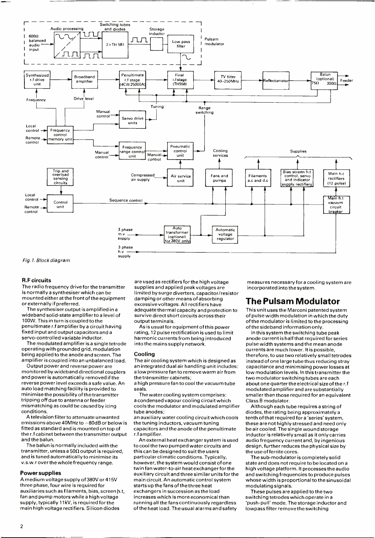

Fig. 1. Block diagram

#### R.F circuits

The radio frequency drive for the transmitter is normally a synthesiser which can be mounted either at the front of the equipment or externally if preferred.

wideband solid-state amplifier to a level of 100W. This in turn is coupled to the penultimate r.f amplifier by a circuit having fixed input and output capacitors and a servo-controlled variable inductor.

The modulated amplifier is a single tetrode operating with grounded grid, modulation being applied to the anode and screen. The amplifier is coupled into an unbalanced load.

monitored by wideband directional couplers<br>and power is automatically removed if the reverse power level exceeds a safe value. An auto load matching facility is provided to minimise the possibility of the transmitter tripping off due to antenna or feeder mismatching as could be caused by icing conditions.

A television filter to attenuate unwanted emissions above 40MHz to -80dB or below is fitted as standard and is mounted on top of the r.f cabinet between the transmitter output and the balun.

The balun is normally included with the transmitter, unless a 50 $\Omega$  output is required, and is tuned automatically to minimise its v.s.w.r over the whole frequency range.

#### Power supplies

A medium voltage supply of 380V or 415V three phase, four wire is required for auxiliaries such as filaments, bias, screen h.t, fan and pump motors while a high voltage supply, typically 11kV, is required for the main high voltage rectifiers. Silicon diodes

are used as rectifiers for the high voltage supplies and applied peak voltages are limited by surge diverters, capacitor /resistor damping or other means of absorbing excessive voltages. All rectifiers have adequate thermal capacity and protection to survive direct short circuits across their output terminals.

As is usual for equipment of this power rating, 12 pulse rectification is used to limit harmonic currents from being introduced into the mains supply network.

#### Cooling

The air cooling system which is designed as an integrated dual air handling unit includes: <sup>a</sup>low pressure fan to remove warm air from the transmitter cabinets;

<sup>a</sup>high pressure fan to cool the vacuum tube seals.

The water cooling system comprises: <sup>a</sup>condensed vapour cooling circuit which cools the modulator and modulated amplifier tube anodes;

an auxiliary water cooling circuit which cools the tuning inductors, vacuum tuning capacitors and the anode of the penultimate r.f amplifier.

An external heat exchanger system is used to cool the two pumped water circuits and this can be designed to suit the users particular climatic conditions. Typically, twin fan water-to-air heat exchanger for the auxiliary circuit and three similar units for the main circuit. An automatic control system starts up the fans of the three heat exchangers in succession as the load increases which is more economical than running all the fans continuously regardless of the heat load. The usual alarms and safety

measures necessary fora cooling system are incorporated into the system.

## The Pulsam Modulator

This unit uses the Marconi patented system of pulse width modulation in which the duty of the modulator is limited to the processing of the sideband information only.

In this system the switching tube peak anode current is half that required for series pulse width systems and the mean anode currents are much lower. It is possible, therefore, to use two relatively small tetrodes instead of one large tube thus reducing stray capacitance and minimising power losses at low modulation levels. In this transmitter the two modulator switching tubes are each about one quarter the electrical size of the r.f modulated amplifier and are substantially smaller than those required for an equivalent Class B modulator.

Although each tube requires a string of diodes, the rating being approximately a tenth of that required for a 'series' system, these are not highly stressed and need only be air cooled. The single wound storage inductor is relatively small as it only carries audio frequency current and, by ingenious design, further reduces the physical size by

the use of ferrite cores. The sub-modulator is completely solid state and does not require to be located on a high voltage platform. It processes the audio and switching frequencies to produce pulses whose width is proportional to the sinusoidal modulating signals.

These pulses are applied to the two switching tetrodes which operate in <sup>a</sup> 'push -pull' mode. The storage inductor and lowpass filter remove the switching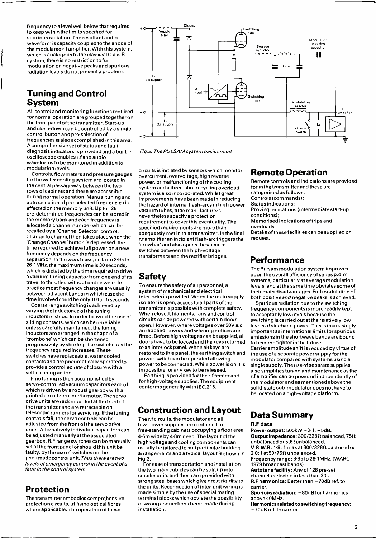frequency to a level well below that required to keep within the limits specified for spurious radiation. The resultant audio waveform is capacity coupled to the anode of the modulated r.f amplifier. With this system, which is analogous to the classical Class B system, there is no restriction to full modulation on negative peaks and spurious radiation levels do not present a problem.

## Tuning and Control System

All control and monitoring functions required  $+$  o for normal operation are grouped together on the front panel of the transmitter. Start-up and close -down can be controlled by a single control button and pre -selection of frequencies is also accomplished in this area. A comprehensive set of status and fault diagnosis indicators is provided and a built -in oscilloscope enables r.f and audio waveforms to be monitored in addition to modulation levels.

Controls, flow meters and pressure gauges overcurrent, overvoltage, high reverse for the water cooling system are located in the central passageway between the two rows of cabinets and these are accessible during normal operation. Manual tuning and auto selection of pre -selected frequencies is effected on the memory unit. Up to 128 pre- determined frequencies can be stored in the memory bank and each frequency is allocated a channel number which can be recalled by a 'Channel Selector' control. Change to channel then takes place when the 'Change Channel' button is depressed. the time required to achieve full power on a new frequency depends on the frequency separation. In the worst case, i.e from 3.95 to 26.1 MHz, the maximum time is 30 seconds, which is dictated by the time required to drive <sup>a</sup>vacuum tuning capacitor from one end of its travel to the other without undue wear. Ir practice most frequency changes are usually between adjacent bands in which case the time involved could be only 10to 15 seconds.

Coarse range switching is achieved by varying the inductance of the tuning inductors in steps. In order to avoid the use of sliding contacts, which can be unreliable unless carefully maintained, the tuning inductors are arranged in the shape of <sup>a</sup>'trombone' which can be shortened progressively by shorting -bar switches as the frequency required increases. These switches have replaceable, water cooled contacts and are pneumatically operated to provide a controlled rate of closure with <sup>a</sup>self -cleaning action.

Fine tuning is then accomplished by servo-controlled vacuum capacitors each of<br>which is driven by a robust gearbox with a printed circuit zero inertia motor. The servo<br>drive units are rack mounted at the front of<br>the transmitter and are retractable on telescopic runners for servicing. If the tuning controls fail, the servo controls can be adjusted from the front of the servo drive units. Alternatively individual capacitors can be adjusted manually at the associated gearbox. R.F range switches can be manually set at the front panel or should this unit be faulty, by the use of switches on the pneumatic control unit. Thus there are two levels of emergency control in the event of a<br>fault in the control system.

## Protection

The transmitter embodies comprehensive protection circuits, utilising optical fibres where applicable. The operation of these



Fig.2. The PULSAM system basic circuit

circuits is initiated by sensors which monitor power, or malfunctioning of the cooling system and a three -shot recycling overload system is also incorporated. Whilst great improvements have been made in reducing the hazard of internal flash -arcs in high power vacuum tubes, tube manufacturers nevertheless specify a protection requirement to cover this eventuality. The specified requirements are more than adequately met in this transmitter. In the final r.f amplifier an incipient flash -arc triggers the 'crowbar' and also opens the vacuum switches between the high-voltage transformers and the rectifier bridges.

## Safety

To ensure the safety of all personnel,a system of mechanical and electrical interlocks is provided. When the main supply isolator is open, access to all parts of the transmitter is possible with complete safety. When closed, filaments, fans and control circuits can be powered with certain doors are applied, covers and warning notices are fitted. Before high voltages can be applied, all doors have to be locked and the keys returned to an interlock panel. When all keys are restored to this panel, the earthing switch and power switch can be operated allowing power to be connected. While power is on it is impossible for any key to be released.

Earthing is provided for the r.f feeder and for high -voltage supplies. The equipment conforms generally with IEC.215.

## Construction and Layout

The r.f circuits, the modulator and all low -power supplies are contained in free -standing cabinets occupying a floor area 4.6m wide by 4.8m deep. The layout of the high voltage and cooling components can usually be tailored to suit particular building arrangements and a typical layout is shown in Fig.3.

For ease of transportation and installation the two main cubicles can be split up into smaller units and these are provided with strong steel bases which give great rigidity to the units. Reconnection of inter -unit wiring is made simple by the use of special mating terminal blocks which obviate the possibility of wrong connections being made during installation.

## Remote Operation

Remote controls and indications are provided for in the transmitter and these are categorised as follows: Controls (commands); Status indications; Proving indications (intermediate start-up conditions);

Memorised indications of trips and overloads.

Details of these facilities can be supplied on request.

## **Performance**

The Pulsam modulation system improves upon the overall efficiency of series p.d.m systems, particularly at average modulation levels, and at the same time obviates some of their main disadvantages. Full modulation of both positiveand negative peaks is achieved.

Spurious radiation due to the switching frequency components is more readily kept to acceptably low levels because the switching is carried out at the relatively low levels of sideband power. This is increasingly important as international limits for spurious emissions in the shortwave bands are bound to become tighter in the future. Carrier amplitude shift is reduced by virtue of the use of a separate power supply for the modulator compared with systems using a single supply. The use of separate supplies also simplifies tuning and maintenance as the r.f amplifier can be powered independently of the modulator and as mentioned above the solid-state sub-modulator does not have to

## Data Summary

R.F data

Power output:  $500kW + 0.1$ ,  $-5dB$ . Output impedance:  $300/328\Omega$  balanced, 75 $\Omega$ unbalanced or 50 $\Omega$  unbalanced.  $V.S.W.R.: 1.8: 1 max at 300/328\Omega balanced or$ 

 $2-0:1$  at 50/75 $\Omega$  unbalanced.

Frequency range: 3.95 to 26.1 MHz. (WARC 1979 broadcast bands).

Autotune facility: Any of 128 pre-set channels selected in less than 30s.

be located on a high -voltage platform.

 $R.F$  harmonics: Better than  $-70dB$  ref. to carrier.

Spurious radiation: -80dB for harmonics above 40MHz.

Harmonics related to switching frequency: -70dB ref. to carrier.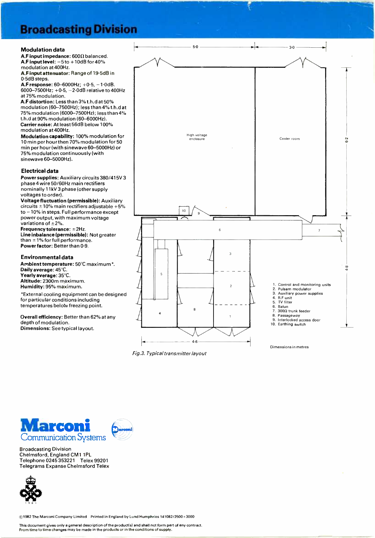## **Broadcasting Division**

#### Modulation data

A.F input impedance:  $600\Omega$  balanced. A.F input level:  $-5$  to  $+10$ dB for 40% modulation at 400Hz.

A.F input attenuator: Range of 19.5dB in 0.5dB steps.

A.F response: 60-6000Hz; +0.5, -1.0dB. 6000-7500Hz;  $+0.5, -2.0$ dB relative to 400Hz at 75% modulation.

A.F distortion: Less than 3% t.h.d at 50% modulation (60-7500Hz); less than 4% t.h.d at 75% modulation (6000-7500Hz); less than 4% t.h.d at 90% modulation (60-6000Hz). Carrier noise: At least 56dB below 100% modulation at 400Hz.

Modulation capability: 100% modulation for 10 min per hour then 70% modulation for 50 min per hour (with sinewave 60- 5000Hz) or 75% modulation continuously (with sinewave 60-5000Hz).

### Electrical data

Power supplies: Auxiliary circuits 380/415V 3 phase 4 wire 50 /60Hz main rectifiers nominally 11 kV 3 phase (other supply voltages to order).

Voltage fluctuation (permissible): Auxiliary circuits  $\pm 10\%$  main rectifiers adjustable +5% to -10% in steps. Full performance except power output, with maximum voltage variations of  $\pm 2\%$ .

Frequency tolerance:  $\pm$ 2Hz. Line inbalance (permissible): Not greater than  $\pm$ 1% for full performance. Power factor: Better than 0.9.

#### Environmental data

Ambient temperature: 50°C maximum\*. Daily average: 45°C. Yearly average: 35°C. Altitude: 2300m maximum. Humidity: 95% maximum.

\*External cooling equipment can be designed for particular conditions including temperatures below freezing point.

Overall efficiency: Better than 62% at any depth of modulation. Dimensions: See typical layout.



Fig.3. Typical transmitter layout



Broadcasting Division Chelmsford, England CM1 1PL Telephone 0245 353221 Telex 99201 Telegrams Expanse Chelmsford Telex

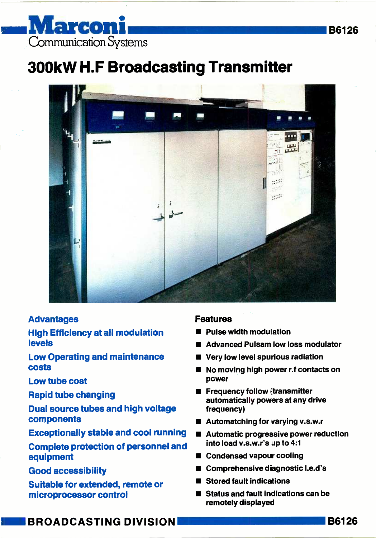## Marconi Communication Systems

## 300kW H.F Broadcasting Transmitter



## Advantages

## High Efficiency at all modulation levels

Low Operating and maintenance costs

Low tube cost

Rapid tube changing

Dual source tubes and high voltage components

Exceptionally stable and cool running

Complete protection of personnel and equipment

Good accessibility

Suitable for extended, remote or microprocessor control

## Features

- Pulse width modulation
- Advanced Pulsam low loss modulator
- Very low level spurious radiation
- No moving high power r.f contacts on power
- **E** Frequency follow (transmitter automatically powers at any drive frequency)
- **Automatching for varying v.s.w.r**
- **Automatic progressive power reduction** into load v.s.w.r's up to 4:1
- Condensed vapour cooling
- Comprehensive diagnostic I.e.d's
- Stored fault indications
- Status and fault indications can be remotely displayed

**BROADCASTING DIVISION** 

B6126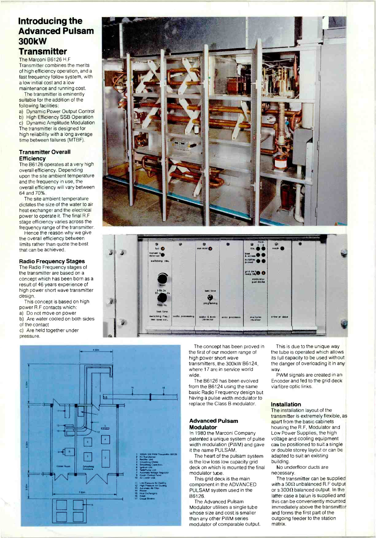## Introducing the **Advanced Pulsam 300kW Transmitter**

The Marconi B6126 H.F Transmitter combines the merits of high efficiency operation, and a fast frequency follow system, with a low initial cost and a low maintenance and running cost.

The transmitter is eminently suitable for the addition of the following facilities:

Dynamic Power Output Control  $a)$ b) High Efficiency SSB Operation c) Dynamic Amplitude Modulation The transmitter is designed for high reliability with a long average time between failures (MTBF).

### **Transmitter Overall** Efficiency

The B6126 operates at a very high overall efficiency. Depending upon the site ambient temperature and the frequency in use, the overall efficiency will vary between 64 and 70%

The site ambient temperature dictates the size of the water to air heat exchanger and the electrical power to operate it. The final R.F stage efficiency varies across the frequency range of the transmitter.

Hence the reason why we give the overall efficiency between limits rather than quote the best that can be achieved.

## **Radio Frequency Stages**

The Radio Frequency stages of the transmitter are based on a concept which has been born as a result of 46 years experience of high power short wave transmitter design.

This concept is based on high power R.F contacts which:

a) Do not move on power

Are water cooled on both sides  $b)$ 

of the contact

c) Are held together under

pressure





The concept has been proved in the first of our modern range of high power short wave transmitters, the 300kW B6124, where 17 are in service world wide.

The B6126 has been evolved from the B6124 using the same basic Radio Frequency design but having a pulse width modulator to replace the Class B modulator.

### **Advanced Pulsam** Modulator

In 1980 the Marconi Company patented a unique system of pulse width modulation (PWM) and gave it the name PULSAM

The heart of the pulsam system is the low loss low capacity grid deck on which is mounted the final modulator tube.

This grid deck is the main component in the ADVANCED PULSAM system used in the **B6126** 

The Advanced Pulsam Modulator utilises a single tube whose size and cost is smaller than any other PWM series modulator of comparable output.

This is due to the unique way the tube is operated which allows its full capacity to be used without the danger of overloading it in any way

PWM signals are created in an Encoder and fed to the grid deck via fibre optic links.

## **Installation**

The installation layout of the transmitter is extremely flexible, as apart from the basic cabinets housing the R.F. Modulator and Low Power Supplies, the high voltage and cooling equipment can be positioned to suit a single or double storey layout or can be adapted to suit an existing building.

No underfloor ducts are necessary.

The transmitter can be supplied with a 50 $\Omega$  unbalanced R.F output or a 300 $\Omega$  balanced output. In the latter case a balun is supplied and this can be conveniently mounted immediately above the transmitter and forms the first part of the outgoing feeder to the station matrix.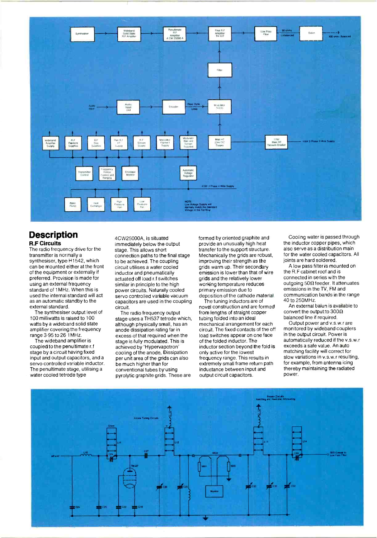

## **Description** R.F Circuits

The radio frequency drive for the transmitter is normally a synthesiser, type H1542, which can be mounted either at the front of the equipment or externally if preferred. Provision is made for using an external frequency standard of 1MHz. When this is used the internal standard will act as an automatic standby to the external standard.

The synthesiser output level of 100 milliwatts is raised to 100 watts by a wideband solid state amplifier covering the frequency range 3.95 to 26.1MHz.

The wideband amplifier is coupled to the penultimate r.f stage by a circuit having fixed input and output capacitors, and a servo controlled variable inductor. The penultimate stage, utilising a water cooled tetrode type

4CW25000A, is situated immediately below the output stage. This allows short connection paths to the final stage to be achieved. The coupling circuit utilises a water cooled inductor and pneumatically actuated off load r.f switches similar in principle to the high<br>power circuits. Naturally cooled servo controlled variable vacuum<br>capacitors are used in the coupling circuit.

The radio frequency output stage uses a TH537 tetrode which, although physically small, has an anode dissipation rating far in excess of that required when the stage is fully modulated. This is achieved by'Hypervapotron' cooling of the anode. Dissipation per unit area of the grids can also be much higher than for conventional tubes by using pyrolytic graphite grids. These are

formed by oriented graphite and provide an unusually high heat transfer to the support structure. Mechanically the grids are robust, improving their strength as the grids warm up. Their secondary emission is lower than that of wire grids and the relatively lower working temperature reduces primary emission due to deposition of the cathode material.

The tuning inductors are of novel construction and are formed from lengths of straight copper tubing folded into an ideal mechanical arrangement for each circuit. The fixed contacts of the off load switches appear on one face in the output circuit. Power is<br>of the folded inductor The automatically reduced if the v.s.w.r of the folded inductor. The inductor section beyond the fold is only active for the lowest frequency range. This results in extremely small frame return path inductance between input and output circuit capacitors.

Cooling water is passed through the inductor copper pipes, which also serve as a distribution main for the water cooled capacitors. All joints are hard soldered.

A low pass filter is mounted on the R.F cabinet roof and is connected in series with the outgoing  $50\Omega$  feeder. It attenuates emissions in the TV, FM and communication bands in the range 40 to 250MHz.

An external balun is available to convert the output to  $300\Omega$ balanced line if required.

Output power and v.s.w.r are monitored by wideband couplers in the output circuit. Power is exceeds a safe value. An auto matching facility will correct for slow variations in v.s.w.r resulting, for example, from antenna icing thereby maintaining the radiated power.

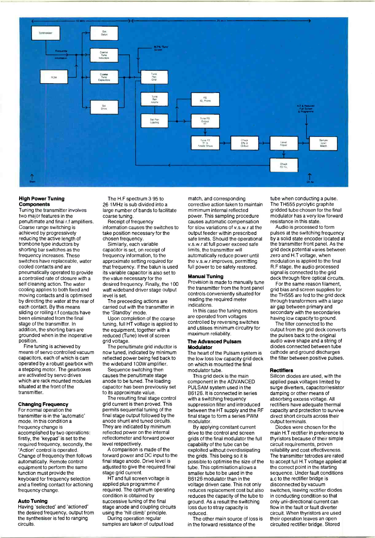

#### High Power Tuning **Components**

Tuning the transmitter involves two major features in the penultimate and final r.f amplifiers. Coarse range switching is achieved by progressively reducing the active length of trombone type inductors by shorting bar switches as the frequency increases. These switches have replaceable, water cooled contacts and are pneumatically operated to provide a controlled rate of closure with a self cleaning action. The water cooling applies to both fixed and moving contacts and is optimised by directing the water at the rear of<br>each contact. By this means sliding or rolling r.f contacts have been eliminated from the final stage of the transmitter. In addition, the shorting bars are grounded when in the inoperative position.<br>Fine tuning is achieved by

means of servo controlled vacuum<br>capacitors, each of which is cam operated by a robust gearbox with a stepping motor. The gearboxes are activated by servo drives which are rack mounted modules situated at the front of the transmitter.

## Changing Frequency

For normal operation the transmitter is in the 'automatic' mode. In this condition a frequency change is accomplished by two operations: firstly, the 'keypad' is set to the required frequency, secondly, the 'Action' control is operated. Change of frequency then follows automatically. Remote control equipment to perform the same function must provide the keyboard for frequency selection and a fleeting contact for actioning frequency change.

#### Auto Tuning

Having 'selected' and 'actioned' the desired frequency, output from the synthesiser is fed to ranging circuits.

The H.F spectrum 3 95 to 26 1 MHz is sub divided into a large number of bands to facilitate coarse tuning.

Receipt of frequency information causes the switches to take position necessary for the chosen frequency.

Similarly, each variable capacitor is set, on receipt of frequency information, to the approximate setting required for that frequency. If the balun is used its variable capacitor is also set to the value necessary for the desired frequency. Finally, the 100 watt wideband driver stage output level is set.

The preceeding actions are carried out with the transmitter in the 'Standby' mode.

Upon completion of the coarse tuning, full HT voltage is applied to the equipment, together with a reduced (Tune) level of screen grid voltage

The penultimate grid inductor is now tuned, indicated by minimum reflected power being fed back to the wideband 100W amplifier.

Sequence switching then causes the penultimate stage anode to be tuned. The loading capacitor has been previously set to its approximate value.

The resulting final stage control grid current is then proved. This permits sequential tuning of the final stage output followed by the anode shunt and tuned circuits. They are indicated by minimum reflected power on the internal reflectometer and forward power level respectively.

A comparison is made of the forward power and DC input to the final stage anode. Drive level is adjusted to give the required final stage grid current.

HT and full screen voltage is applied plus programme if required. The optimum operating condition is obtained by successive tuning of the final stage anode and coupling circuits using the 'hill climb' principle.

During operation regular samples are taken of output load match, and corresponding corrective action taken to maintain mimimum internal reflected power. This sampling procedure causes automatic compensation for slow variations of v.s.w.r at the output feeder within prescribed<br>safe limits. Should the operational limits, the transmitter will automatically reduce power until the v.s.w.r improves, permitting full power to be safely restored.

### Manual Tuning

Provision is made to manually tune the transmitter from the front panel controls conveniently situated for reading the required meter indications.

In this case the tuning motors are operated from voltages controlled by reversing switches and utilises minimum circuitry for maximum reliability.

#### The Advanced Puisam Modulator

The heart of the Pulsam system is the low loss low capacity grid deck on which is mounted the final modulator tube.

This grid deck is the main component in the ADVANCED PULSAM system used in the B6126. It is connected in series with a switching frequency suppression filter and introduced between the HT supply and the RF final stage to form a series PWM modulator.

By applying constant current<br>drive to the control and screen grids of the final modulator the full capability of the tube can be exploited without overdissipating the grids. This being so it is possible to optimise the size of the tube. This optimisation allows a smaller tube to be used in the B6126 modulator than in the voltage driven case. This not only disconnected by vacuum reduces replacement cost but also reduces the capacity of the tube to ground. As a result the switching loss due to stray capacity is reduced.

The other main source of loss is in the forward resistance of the

tube when conducting a pulse. The TH555 pyrolytic graphite gridded tube chosen for the final modulator has a very low forward resistance in this state.

v.s.w.r at full power exceed safe the transmitter front panel. As the limits the transmitter will varies between Audio is processed to form pulses at the switching frequency by a solid state encoder located at the transmitter front panel. As the zero and H.T voltage, when modulation is applied to the final R.F stage, the audio processed signal is connected to the grid deck through fibre optical circuits.

For the same reason filament, grid bias and screen supplies for the TH555 are fed to the grid deck through transformers with a large air gap between primary and secondary with the secondaries having low capacity to ground.

The filter connected to the output from the grid deck converts the pulses back to the original audio wave shape and a string of diodes connected between tube cathode and ground discharges the filter between positive pulses.

#### **Rectifiers**

Silicon diodes are used, with the applied peak voltages limited by surge diverters, capacitor/resistor damping or other means of absorbing excess voltage. All rectifiers have adequate thermal capacity and protection to survive direct short circuits across their output terminals.

Diodes were chosen for the main H.T rectifier in preference to thyristors because of their simple circuit requirements, proven reliability and cost effectiveness. The transmitter tetrodes are rated to accept full H.T voltage applied at the correct point in the starting sequence. Under fault conditions a.c to the rectifier bridge is switches, leaving rectifier diodes in conducting condition so that only uni-directional current can flow in the fault or fault diverter circuit. When thyristors are used their operation leaves an open circuited rectifier bridge. Stored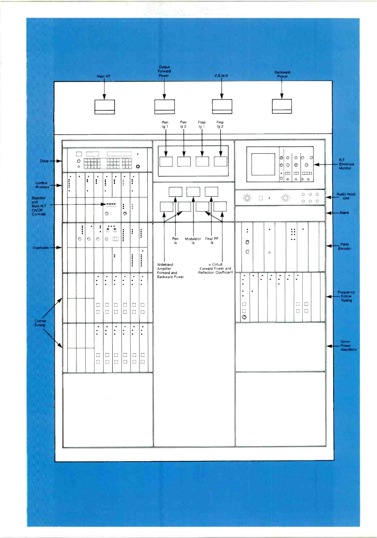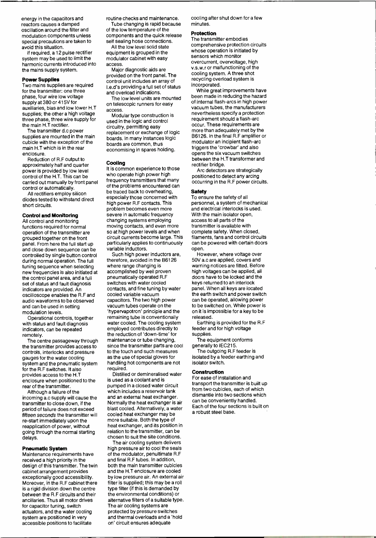energy in the capacitors and reactors causes a damped oscillation around the filter and modulation components unless special precautions are taken to avoid this situation.

If required, a 12 pulse rectifier system may be used to limit the harmonic currents introduced into the mains supply system.

#### Power Supplies

Two mains supplies are required for the transmitter: one three phase, four wire low voltage supply at 380 or 415V for supply at 380 or 415V for<br>auxiliaries, bias and low lower H.T access. supplies; the other a high voltage three phase, three wire supply for the main H.T rectifier.

The transmitter d.c power supplies are mounted in the main cubicle with the exception of the main H.T which is in the rear enclosure.

Reduction of R.F output to approximately half and quarter power is provided by low level control of the H.T. This can be carried out manually by front panel and trequency transmitters that many<br>control of outcometically of the problems encountered can control or automatically.

All rectifiers employ silicon diodes tested to withstand direct short circuits.

### Control and Monitoring

All control and monitoring functions required for normal operation of the transmitter are grouped together on the front panel. From here the full start up and close down sequence can be controlled by single button control during normal operation. The full tuning sequence when selecting new frequencies is also initiated at the control panel area, and a full set of status and fault diagnosis indicators are provided. An oscilloscope enables the R.F and cooled variable vacuum audio waveforms to be observed capacitors. The two high power<br>and can be used in setting vacuum tubes operate on the and can be used in setting modulation levels.

Operational controls, together with status and fault diagnosis indicators, can be repeated remotely.

The centre passageway through the transmitter provides access to controls, interlocks and pressure gauges for the water cooling system and the pneumatic system for the R.F switches. It also provides access to the H.T enclosure when positioned to the rear of the transmitter.

Although a failure of the incoming a.c supply will cause the transmitter to close down, if the period of failure does not exceed blast cooled. Alternatively, a way<br>fifteen seconds the transmitter will cooled heat exchanger may be fifteen seconds the transmitter will re -start immediately upon the reapplication of power, without going through the normal starting delays.

#### Pneumatic System

Maintenance requirements have received a high priority in the design of this transmitter. The twin cabinet arrangement provides exceptionally good accessibility. Moreover, in the R.F cabinet there is a rigid division down the centre between the R.F circuits and their ancillaries. Thus all motor drives for capacitor tuning, switch actuators, and the water cooling system are positioned in very accessible positions to facilitate

routine checks and maintenance.

Tube changing is rapid because of the low temperature of the components and the quick release self sealing hose connections. All the low level solid state

equipment is grouped in the modulator cabinet with easy access. Major diagnostic aids are

provided on the front panel. The control unit includes an array of I.e.d's providing a full set of status and overload indications.

The low level units are mounted

Modular type construction is used in the logic and control circuitry, permitting easy replacement or exchange of logic boards. In many instances logic boards are common, thus economising in spares holding.

#### Cooling

It is common experience to those who operate high power high frequency transmitters that many be traced back to overheating, especially those concerned with high power R.F contacts. This problem becomes even more severe in automatic frequency changing systems employing<br>moving contacts, and even more so at high power levels and when circuit currents become large. This particularly applies to continuously variable inductors.

Such high power inductors are, therefore, avoided in the B6126 where range changing is accomplished by well proven pneumatically operated R.F switches with water cooled contacts, and fine tuning by water capacitors. The two high power 'hypervapotron' principle and the remaining tube is conventionally water cooled. The cooling system employed contributes directly to the reduction of 'down -time' for maintenance or tube changing, since the transmitter parts are cool to the touch and such measures as the use of special gloves for handling hot components are not required.

Distilled or demineralised water is used as a coolant and is pumped in a closed water circuit which includes a reservoir tank and an external heat exchanger. Normally the heat exchanger is air blast cooled. Alternatively, a water more suitable. Both the type of heat exchanger, and its position in relation to the transmitter, can be chosen to suit the site conditions.

The air cooling system delivers high pressure air to cool the seals of the modulator, penultimate R.F and final R.F tubes. In addition, both the main transmitter cubicles and the H.T enclosure are cooled by low pressure air. An external air filter is supplied; this may be a roll type filter (if this is demanded by the environmental conditions) or alternative filters of a suitable type. The air cooling systems are protected by pressure switches and thermal overloads and a 'hold on' circuit ensures adequate

cooling after shut down for a few minutes.

#### Protection

The transmitter embodies comprehensive protection circuits whose operation is initiated by sensors which monitor overcurrent, overvoltage, high v.s.w.r or malfunctioning of the cooling system. A three shot recycling overload system is incorporated.

While great improvements have been made in reducing the hazard<br>of internal flash-arcs in high power vacuum tubes, the manufacturers nevertheless specify a protection<br>requirement should a flash-arc occur. These requirements are more than adequately met by the 86126. In the final R.F amplifier or modulator an incipient flash -arc triggers the 'crowbar' and also opens the six vacuum switches between the H.T transformer and rectifier bridge.

Arc detectors are strategically positioned to detect any arcing occurring in the R.F power circuits.

#### Safety

To ensure the safety of all personnel, a system of mechanical and electrical interlocks is used. With the main isolator open, access to all parts of the transmitter is available with complete safety. When closed, filaments, fans and control circuits can be powered with certain doors open.

However, where voltage over 50V a.c are applied, covers and warning notices are fitted. Before high voltages can be applied, all doors have to be locked and the keys returned to an interlock panel. When all keys are located the earth switch and power switch can be operated, allowing power to be switched on. While power is on it is impossible for a key to be released.

Earthing is provided for the R.F feeder and for high voltage supplies.

The equipment conforms generally to IEC215.

The outgoing R.F feeder is isolated by a feeder earthing and isolator switch.

#### Construction

For ease of installation and transport the transmitter is built up from two cubicles, each of which dismantle into two sections which can be conveniently handled. Each of the four sections is built on a robust steel base.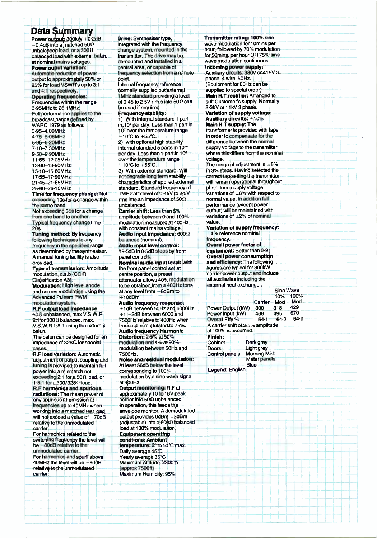## Data Summary

Power output: 300kW +0.2dB,  $-0.4$ dB into a matched 50 $\Omega$ unbalanced load, or a 300 $\Omega$ balanced load with external balun, at nominal mains voltages. Power ouput variation: Automatic reduction of power<br>output to approximately 50% or 25% for load VSWR's up to 3:1 and 4:1 respectively. Operating frequencies: Frequencies within the range 3.95MHz to 26.1 MHz. Full performance applies to the broadcast bands defined by WARC 1979 as follows: 3.95- 4.00MHz 4.75-5-06MHz 5.95 -6 20MHz 7-10-7<sub>1</sub>30MHz 9.50-9.90MHz 11.65- 12.05MHz 13-60-13-80MHz 15-10-15-60MHz 17·55–17·90MHz 21.45-21.85MHz 25.60-26.10MHz Time for frequency change: Not exceeding 10s for a change within the same band. Not exceeding 35s for a change from one band to another. Typical frequency change time 20s.<br>**Tuning method:** By frequency following techniques to any frequency in the specified range as determined by the synthesiser. A manual tuning facility is also provided. Type of transmission: Amplitude modulation, d.s.b (CCIR Classification A3) Modulation: High level anode and screen modulation using the Advanced Pulsam PWM modulation system. R.F output load impedance: 5012 unbalanced, max V.S.W.R  $2:1$  or 300  $\Omega$  balanced, max.  $V.S.W.R 1.8:1$  using the external balun. The balun can be designed for an impedance of  $328\Omega$  for special cases.<br>**R.F load variation:** Automatic adjustment of output coupling and tuning is provided to maintain full power into a mismatch not exceeding 2:1 for a 50 $\Omega$  load, or 1.8:1 for a 300/32812 load. R.F harmonics and spurious radiations: The mean power o any spurious r.f emission at frequencies up to 40MHz when working into a matched test load will not exceed a value of -70dB relative to the unmodulated carrier. For harmonics related to the switching frequency the level will be -80dB relative to the unmodulated carrier. For harmonics and spurii above 40MHz the level will be -80dB relative to the unmodulated carrier.

Drive: Synthesiser type, integrated with the frequency change system, mounted in the transmitter. The drive may be demounted and installed in a central area, or capable of frequency selection from a remote point. Internal frequency reference normally supplied but external <sup>1</sup>MHz standard providing a level of 0.45 to 2.5V r.m.s into 50 $\Omega$  can be used if required. Frequency stability: 1) With internal standard 1 part in,10° per day. Less than 1 part in 10' over the temperature range  $-10^\circ \text{C}$  to  $+55^\circ \text{C}$ . 2) with optional high stability internal standard 5 parts in 10'° per day. Less than 1 part in 10° over the temperature range  $-10^\circ \text{C}$  to  $+55^\circ \text{C}$ . 3) With external standard. Will not degrade long term stability characteristics of applied external standard. Standard frequency of 1MHz at a level of 0.45V to 2.5V rms into an impedance of 50 $\Omega$ unbalanced. Carrier shift: Less than 5% amplitude between 0 and 100% modulation measured at 400Hz with constant mains voltage. Audio input impedance: 600 $\Omega$ balanced (nominal). Audio input level control: 19.5dB in 0.5dB steps by front panel controls. Nominal audio input level: With the front panel control set at centre position, a preset attenuator allows 40% modulation to be obtained from a 400Hz tone at any level from -5dBm to  $+10$ d $Bm$ Audio frequency response:  $\pm$ 1dB between 50Hz and 6000Hz  $-$ <sup>1</sup>-2dB between 6000 and 7500Hz relative to 400Hz when transmitter modulated to 75 %. Audio frequency Harmonic Distortion: 2.5% at 50% modulation and 4% at 90% modulation between 50Hz and 7500Hz. Noise and residual modulation: At least 56dB below the level corresponding to 100% modulation by a sine wave signal at 400Hz. Output monitoring: R.F at approximately 10 to 16V peak  $c$ arrier into 50 $\Omega$  unbalanced. In operation, this feeds the envelope monitor. A demodulated output provides  $0$ d $Bm = 3$ d $Bm$  $(adiustable)$  into a 600 $\Omega$  balanced load at 100% modulation. Equipment operating condtions: Ambient temperature: 2° to 50°C max. Daily average 45°C Yearly average 35°C Maximum Altitude: 2300m (approx 7500ft) Maximum Humidity: 95%

| Transmitter rating: 100% sine                                             |      |                     |           |      |  |
|---------------------------------------------------------------------------|------|---------------------|-----------|------|--|
| wave modulation for 10mins per                                            |      |                     |           |      |  |
| hour, followed by 70% modulation<br>for 50mins, per hour OR 75% sine      |      |                     |           |      |  |
| wave modulation continuous.                                               |      |                     |           |      |  |
| Incoming power supply:                                                    |      |                     |           |      |  |
| Auxiliary circuits: 380V or 415V 3                                        |      |                     |           |      |  |
| phase, 4 wire, 50Hz.                                                      |      |                     |           |      |  |
| (Equipment for 60Hz can be                                                |      |                     |           |      |  |
| supplied to special order).                                               |      |                     |           |      |  |
| <b>Main H.T.rectifier: Arranged to</b>                                    |      |                     |           |      |  |
| suit Customer's supply. Normally<br>3-3kV or 11kV 3 phase.                |      |                     |           |      |  |
| Variation of supply voltage:                                              |      |                     |           |      |  |
| Auxiliary circuits: ±10%                                                  |      |                     |           |      |  |
| <b>Main H.T supply: The</b>                                               |      |                     |           |      |  |
| transformer is provided with taps                                         |      |                     |           |      |  |
| in order to compensate for the                                            |      |                     |           |      |  |
| difference between the normal                                             |      |                     |           |      |  |
| supply voltage to the transmitter,<br>where this differs from the nominal |      |                     |           |      |  |
| voltage.                                                                  |      |                     |           |      |  |
| The range of adjustment is $\pm 6\%$                                      |      |                     |           |      |  |
| in 3% steps. Having selected the                                          |      |                     |           |      |  |
| correct tap setting the transmitter                                       |      |                     |           |      |  |
| will remain operational throughout                                        |      |                     |           |      |  |
| short-term supply voltage                                                 |      |                     |           |      |  |
| variations of $\pm 6\%$ with respect to<br>normal value. In addition full |      |                     |           |      |  |
| performance (except power                                                 |      |                     |           |      |  |
| output) will be maintained with                                           |      |                     |           |      |  |
| variations of $\pm 2\%$ of nominal                                        |      |                     |           |      |  |
| value.                                                                    |      |                     |           |      |  |
| Variation of supply frequency:                                            |      |                     |           |      |  |
| ±4% reference nominal                                                     |      |                     |           |      |  |
| frequency.-<br>Overall power factor of                                    |      |                     |           |      |  |
| equipment: Better than 0 9.                                               |      |                     |           |      |  |
| Overall power consumption                                                 |      |                     |           |      |  |
| and efficiency: The following                                             |      |                     |           |      |  |
| figures are typical for 300kW                                             |      |                     |           |      |  |
| carrier power output and include                                          |      |                     |           |      |  |
| all auxiliaries including the<br>external heat exchanger.                 |      |                     |           |      |  |
|                                                                           |      |                     | Sine Wave |      |  |
|                                                                           |      |                     | 40%       | 100% |  |
|                                                                           |      | Carrier - Mod       |           | Mod  |  |
| Power Output (kW)                                                         |      | 300                 | 318       | 429  |  |
| Power Input (kW)                                                          |      | 468                 | 495       | 670  |  |
| Overal Effy %                                                             |      | $64.1 +$            | 64.2      | 64.0 |  |
| A carrier shift of 2-5% amplitude.<br>at 100% is assumed. I               |      |                     |           |      |  |
| Finish:                                                                   |      |                     |           |      |  |
| Cabinet                                                                   |      | Dark grey           |           |      |  |
| Doors.                                                                    |      | Light grey          |           |      |  |
| Control panels                                                            |      | <b>Morning Mist</b> |           |      |  |
|                                                                           | Blue | Meter panels        |           |      |  |
| Legend: English                                                           |      |                     |           |      |  |
|                                                                           |      |                     |           |      |  |
|                                                                           |      |                     |           |      |  |
|                                                                           |      |                     |           |      |  |
|                                                                           |      |                     |           |      |  |
|                                                                           |      |                     |           |      |  |
|                                                                           |      |                     |           |      |  |
|                                                                           |      |                     |           |      |  |
|                                                                           |      |                     |           |      |  |
|                                                                           |      |                     |           |      |  |
|                                                                           |      |                     |           |      |  |
|                                                                           |      |                     |           |      |  |
|                                                                           |      |                     |           |      |  |
|                                                                           |      |                     |           |      |  |
|                                                                           |      |                     |           |      |  |
|                                                                           |      |                     |           |      |  |
|                                                                           |      |                     |           |      |  |
|                                                                           |      |                     |           |      |  |
|                                                                           |      |                     |           |      |  |
|                                                                           |      |                     |           |      |  |